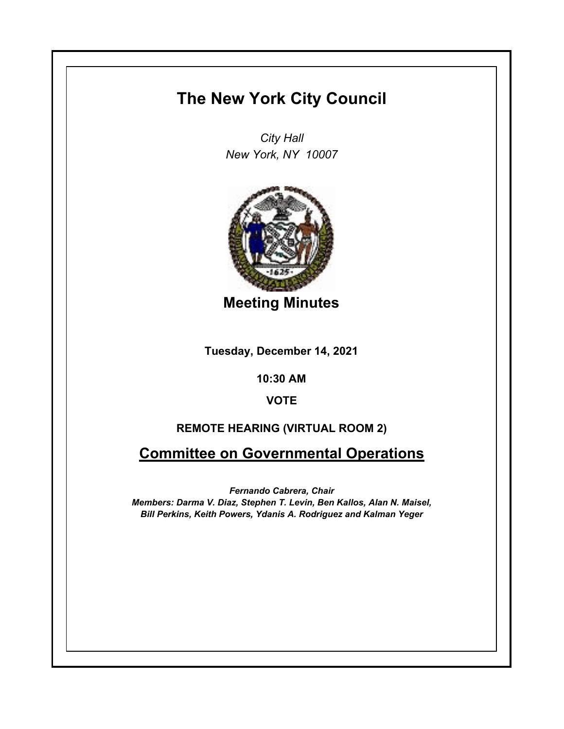# **The New York City Council**

*City Hall New York, NY 10007*



**Meeting Minutes**

**Tuesday, December 14, 2021**

**10:30 AM**

**VOTE**

# **REMOTE HEARING (VIRTUAL ROOM 2)**

**Committee on Governmental Operations**

*Fernando Cabrera, Chair Members: Darma V. Diaz, Stephen T. Levin, Ben Kallos, Alan N. Maisel, Bill Perkins, Keith Powers, Ydanis A. Rodriguez and Kalman Yeger*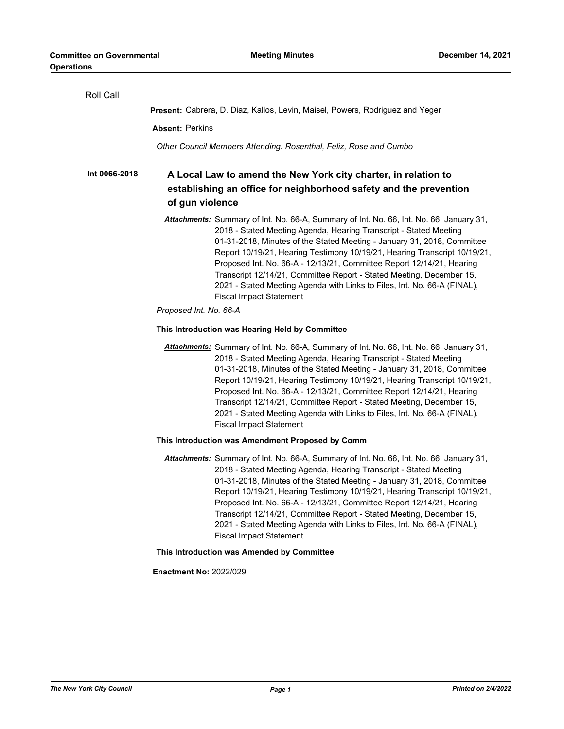| Roll Call     |                                                                                                                                                                                                                                                                                                                                                                                                                                                                                                                                                                                     |
|---------------|-------------------------------------------------------------------------------------------------------------------------------------------------------------------------------------------------------------------------------------------------------------------------------------------------------------------------------------------------------------------------------------------------------------------------------------------------------------------------------------------------------------------------------------------------------------------------------------|
|               | Present: Cabrera, D. Diaz, Kallos, Levin, Maisel, Powers, Rodriguez and Yeger                                                                                                                                                                                                                                                                                                                                                                                                                                                                                                       |
|               | <b>Absent: Perkins</b>                                                                                                                                                                                                                                                                                                                                                                                                                                                                                                                                                              |
|               | Other Council Members Attending: Rosenthal, Feliz, Rose and Cumbo                                                                                                                                                                                                                                                                                                                                                                                                                                                                                                                   |
| Int 0066-2018 | A Local Law to amend the New York city charter, in relation to<br>establishing an office for neighborhood safety and the prevention<br>of gun violence                                                                                                                                                                                                                                                                                                                                                                                                                              |
|               | Attachments: Summary of Int. No. 66-A, Summary of Int. No. 66, Int. No. 66, January 31,<br>2018 - Stated Meeting Agenda, Hearing Transcript - Stated Meeting<br>01-31-2018, Minutes of the Stated Meeting - January 31, 2018, Committee<br>Report 10/19/21, Hearing Testimony 10/19/21, Hearing Transcript 10/19/21,<br>Proposed Int. No. 66-A - 12/13/21, Committee Report 12/14/21, Hearing<br>Transcript 12/14/21, Committee Report - Stated Meeting, December 15,<br>2021 - Stated Meeting Agenda with Links to Files, Int. No. 66-A (FINAL),<br><b>Fiscal Impact Statement</b> |
|               | Proposed Int. No. 66-A                                                                                                                                                                                                                                                                                                                                                                                                                                                                                                                                                              |
|               | This Introduction was Hearing Held by Committee                                                                                                                                                                                                                                                                                                                                                                                                                                                                                                                                     |
|               | Attachments: Summary of Int. No. 66-A, Summary of Int. No. 66, Int. No. 66, January 31,<br>2018 - Stated Meeting Agenda, Hearing Transcript - Stated Meeting<br>01-31-2018, Minutes of the Stated Meeting - January 31, 2018, Committee<br>Report 10/19/21, Hearing Testimony 10/19/21, Hearing Transcript 10/19/21,<br>Proposed Int. No. 66-A - 12/13/21, Committee Report 12/14/21, Hearing<br>Transcript 12/14/21, Committee Report - Stated Meeting, December 15,<br>2021 - Stated Meeting Agenda with Links to Files, Int. No. 66-A (FINAL),<br><b>Fiscal Impact Statement</b> |
|               | This Introduction was Amendment Proposed by Comm                                                                                                                                                                                                                                                                                                                                                                                                                                                                                                                                    |
|               | Attachments: Summary of Int. No. 66-A, Summary of Int. No. 66, Int. No. 66, January 31,<br>2018 - Stated Meeting Agenda, Hearing Transcript - Stated Meeting<br>01-31-2018, Minutes of the Stated Meeting - January 31, 2018, Committee<br>Report 10/19/21, Hearing Testimony 10/19/21, Hearing Transcript 10/19/21,<br>Proposed Int. No. 66-A - 12/13/21, Committee Report 12/14/21, Hearing<br>Transcript 12/14/21, Committee Report - Stated Meeting, December 15,<br>2021 - Stated Meeting Agenda with Links to Files, Int. No. 66-A (FINAL),<br><b>Fiscal Impact Statement</b> |
|               | This Introduction was Amended by Committee                                                                                                                                                                                                                                                                                                                                                                                                                                                                                                                                          |
|               | <b>Enactment No: 2022/029</b>                                                                                                                                                                                                                                                                                                                                                                                                                                                                                                                                                       |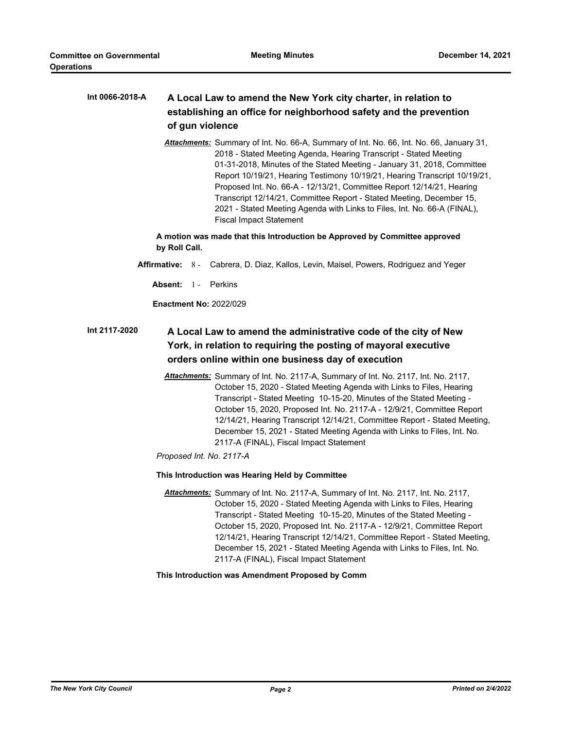#### **A Local Law to amend the New York city charter, in relation to establishing an office for neighborhood safety and the prevention of gun violence Int 0066-2018-A**

*Attachments:* Summary of Int. No. 66-A, Summary of Int. No. 66, Int. No. 66, January 31, 2018 - Stated Meeting Agenda, Hearing Transcript - Stated Meeting 01-31-2018, Minutes of the Stated Meeting - January 31, 2018, Committee Report 10/19/21, Hearing Testimony 10/19/21, Hearing Transcript 10/19/21, Proposed Int. No. 66-A - 12/13/21, Committee Report 12/14/21, Hearing Transcript 12/14/21, Committee Report - Stated Meeting, December 15, 2021 - Stated Meeting Agenda with Links to Files, Int. No. 66-A (FINAL), Fiscal Impact Statement

**A motion was made that this Introduction be Approved by Committee approved by Roll Call.**

- **Affirmative:** 8 Cabrera, D. Diaz, Kallos, Levin, Maisel, Powers, Rodriguez and Yeger
	- Absent: 1 Perkins

**Enactment No:** 2022/029

#### **A Local Law to amend the administrative code of the city of New York, in relation to requiring the posting of mayoral executive orders online within one business day of execution Int 2117-2020**

*Attachments:* Summary of Int. No. 2117-A, Summary of Int. No. 2117, Int. No. 2117, October 15, 2020 - Stated Meeting Agenda with Links to Files, Hearing Transcript - Stated Meeting 10-15-20, Minutes of the Stated Meeting - October 15, 2020, Proposed Int. No. 2117-A - 12/9/21, Committee Report 12/14/21, Hearing Transcript 12/14/21, Committee Report - Stated Meeting, December 15, 2021 - Stated Meeting Agenda with Links to Files, Int. No. 2117-A (FINAL), Fiscal Impact Statement

*Proposed Int. No. 2117-A*

#### **This Introduction was Hearing Held by Committee**

*Attachments:* Summary of Int. No. 2117-A, Summary of Int. No. 2117, Int. No. 2117, October 15, 2020 - Stated Meeting Agenda with Links to Files, Hearing Transcript - Stated Meeting 10-15-20, Minutes of the Stated Meeting - October 15, 2020, Proposed Int. No. 2117-A - 12/9/21, Committee Report 12/14/21, Hearing Transcript 12/14/21, Committee Report - Stated Meeting, December 15, 2021 - Stated Meeting Agenda with Links to Files, Int. No. 2117-A (FINAL), Fiscal Impact Statement

**This Introduction was Amendment Proposed by Comm**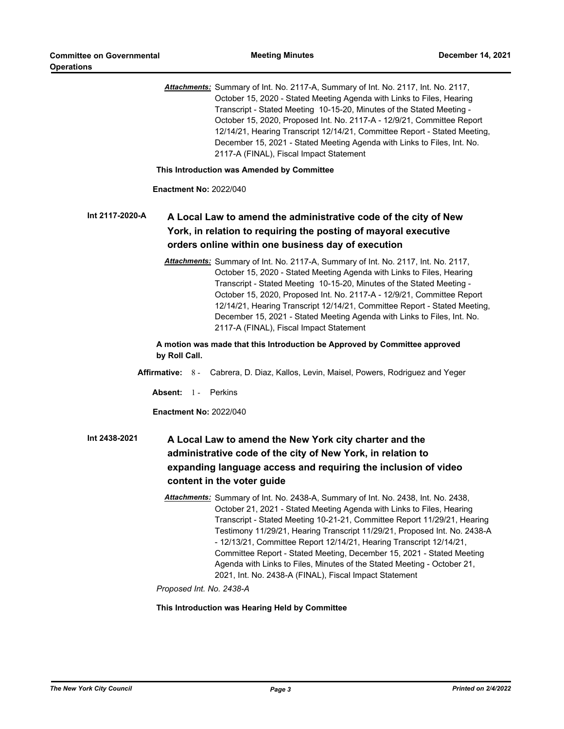*Attachments:* Summary of Int. No. 2117-A, Summary of Int. No. 2117, Int. No. 2117, October 15, 2020 - Stated Meeting Agenda with Links to Files, Hearing Transcript - Stated Meeting 10-15-20, Minutes of the Stated Meeting - October 15, 2020, Proposed Int. No. 2117-A - 12/9/21, Committee Report 12/14/21, Hearing Transcript 12/14/21, Committee Report - Stated Meeting, December 15, 2021 - Stated Meeting Agenda with Links to Files, Int. No. 2117-A (FINAL), Fiscal Impact Statement

**This Introduction was Amended by Committee**

**Enactment No:** 2022/040

#### **A Local Law to amend the administrative code of the city of New York, in relation to requiring the posting of mayoral executive orders online within one business day of execution Int 2117-2020-A**

*Attachments:* Summary of Int. No. 2117-A, Summary of Int. No. 2117, Int. No. 2117, October 15, 2020 - Stated Meeting Agenda with Links to Files, Hearing Transcript - Stated Meeting 10-15-20, Minutes of the Stated Meeting - October 15, 2020, Proposed Int. No. 2117-A - 12/9/21, Committee Report 12/14/21, Hearing Transcript 12/14/21, Committee Report - Stated Meeting, December 15, 2021 - Stated Meeting Agenda with Links to Files, Int. No. 2117-A (FINAL), Fiscal Impact Statement

**A motion was made that this Introduction be Approved by Committee approved by Roll Call.**

- **Affirmative:** 8 Cabrera, D. Diaz, Kallos, Levin, Maisel, Powers, Rodriguez and Yeger
	- Absent: 1 Perkins

**Enactment No:** 2022/040

## **A Local Law to amend the New York city charter and the administrative code of the city of New York, in relation to expanding language access and requiring the inclusion of video content in the voter guide Int 2438-2021**

*Attachments:* Summary of Int. No. 2438-A, Summary of Int. No. 2438, Int. No. 2438, October 21, 2021 - Stated Meeting Agenda with Links to Files, Hearing Transcript - Stated Meeting 10-21-21, Committee Report 11/29/21, Hearing Testimony 11/29/21, Hearing Transcript 11/29/21, Proposed Int. No. 2438-A - 12/13/21, Committee Report 12/14/21, Hearing Transcript 12/14/21, Committee Report - Stated Meeting, December 15, 2021 - Stated Meeting Agenda with Links to Files, Minutes of the Stated Meeting - October 21, 2021, Int. No. 2438-A (FINAL), Fiscal Impact Statement

*Proposed Int. No. 2438-A*

#### **This Introduction was Hearing Held by Committee**

*The New York City Council Page 3 Printed on 2/4/2022*